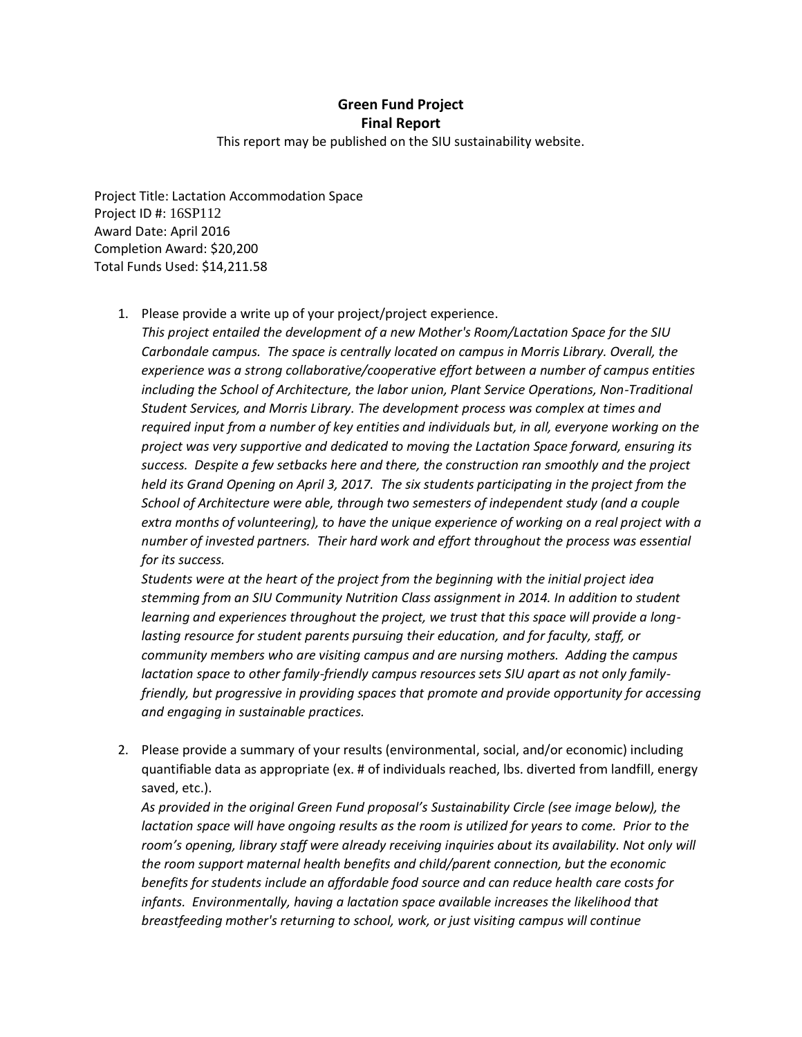## **Green Fund Project Final Report**

This report may be published on the SIU sustainability website.

Project Title: Lactation Accommodation Space Project ID #: 16SP112 Award Date: April 2016 Completion Award: \$20,200 Total Funds Used: \$14,211.58

1. Please provide a write up of your project/project experience.

*This project entailed the development of a new Mother's Room/Lactation Space for the SIU Carbondale campus. The space is centrally located on campus in Morris Library. Overall, the experience was a strong collaborative/cooperative effort between a number of campus entities*  including the School of Architecture, the labor union, Plant Service Operations, Non-Traditional *Student Services, and Morris Library. The development process was complex at times and required input from a number of key entities and individuals but, in all, everyone working on the project was very supportive and dedicated to moving the Lactation Space forward, ensuring its success. Despite a few setbacks here and there, the construction ran smoothly and the project held its Grand Opening on April 3, 2017. The six students participating in the project from the School of Architecture were able, through two semesters of independent study (and a couple extra months of volunteering), to have the unique experience of working on a real project with a number of invested partners. Their hard work and effort throughout the process was essential for its success.*

*Students were at the heart of the project from the beginning with the initial project idea stemming from an SIU Community Nutrition Class assignment in 2014. In addition to student learning and experiences throughout the project, we trust that this space will provide a longlasting resource for student parents pursuing their education, and for faculty, staff, or community members who are visiting campus and are nursing mothers. Adding the campus lactation space to other family-friendly campus resources sets SIU apart as not only familyfriendly, but progressive in providing spaces that promote and provide opportunity for accessing and engaging in sustainable practices.*

2. Please provide a summary of your results (environmental, social, and/or economic) including quantifiable data as appropriate (ex. # of individuals reached, lbs. diverted from landfill, energy saved, etc.).

*As provided in the original Green Fund proposal's Sustainability Circle (see image below), the lactation space will have ongoing results as the room is utilized for years to come. Prior to the room's opening, library staff were already receiving inquiries about its availability. Not only will the room support maternal health benefits and child/parent connection, but the economic benefits for students include an affordable food source and can reduce health care costs for infants. Environmentally, having a lactation space available increases the likelihood that breastfeeding mother's returning to school, work, or just visiting campus will continue*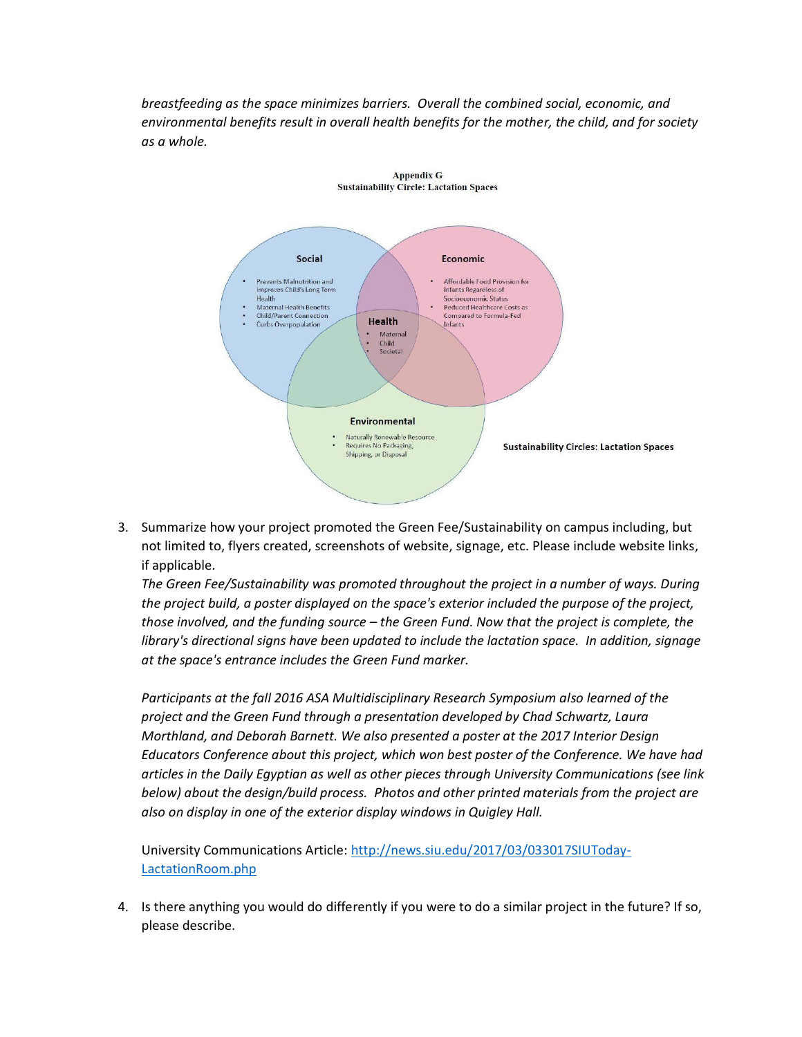*breastfeeding as the space minimizes barriers. Overall the combined social, economic, and environmental benefits result in overall health benefits for the mother, the child, and for society as a whole.* 

**Appendix G** 



3. Summarize how your project promoted the Green Fee/Sustainability on campus including, but not limited to, flyers created, screenshots of website, signage, etc. Please include website links, if applicable.

*The Green Fee/Sustainability was promoted throughout the project in a number of ways. During the project build, a poster displayed on the space's exterior included the purpose of the project, those involved, and the funding source – the Green Fund. Now that the project is complete, the library's directional signs have been updated to include the lactation space. In addition, signage at the space's entrance includes the Green Fund marker.*

*Participants at the fall 2016 ASA Multidisciplinary Research Symposium also learned of the project and the Green Fund through a presentation developed by Chad Schwartz, Laura Morthland, and Deborah Barnett. We also presented a poster at the 2017 Interior Design Educators Conference about this project, which won best poster of the Conference. We have had articles in the Daily Egyptian as well as other pieces through University Communications (see link below) about the design/build process. Photos and other printed materials from the project are also on display in one of the exterior display windows in Quigley Hall.*

University Communications Article: [http://news.siu.edu/2017/03/033017SIUToday-](http://news.siu.edu/2017/03/033017SIUToday-LactationRoom.php)[LactationRoom.php](http://news.siu.edu/2017/03/033017SIUToday-LactationRoom.php)

4. Is there anything you would do differently if you were to do a similar project in the future? If so, please describe.